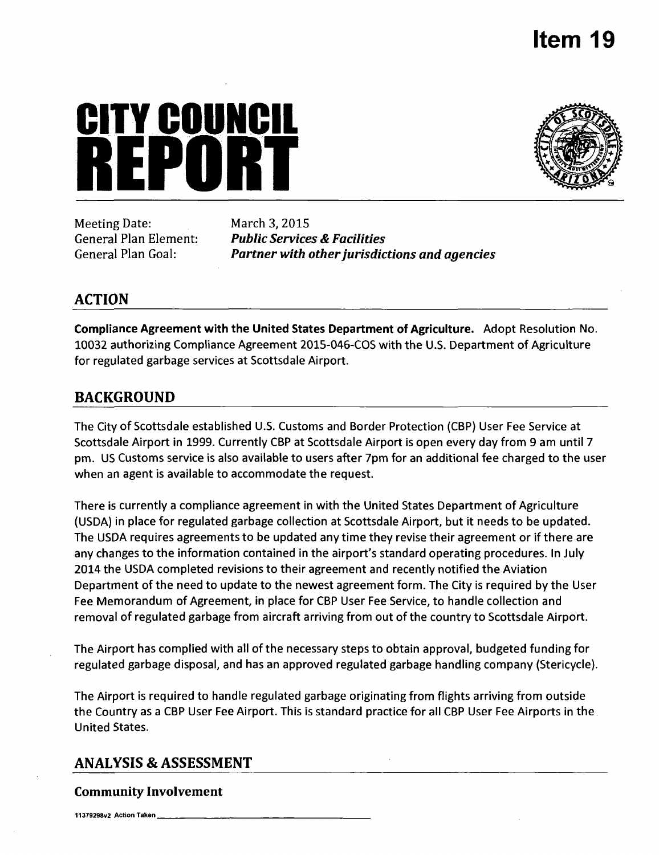# **Item 19**

# **CITY COUNCIL REPUBLIC 1999**<br>Meeting Date: March 3, 2015



Meeting Date: March 3, 2015

**General Plan Element: Public Services & Facilities General Plan Goal: Partner with other jurisdictions and agencies** 

# **ACTION**

Compliance Agreement with the United States Department of Agriculture. Adopt Resolution No. 10032 authorizing Compliance Agreement 2015-046-COS with the U.S. Department of Agriculture for regulated garbage services at Scottsdale Airport.

# **BACKGROUND**

The City of Scottsdale established U.S. Customs and Border Protection (CBP) User Fee Service at Scottsdale Airport in 1999. Currently CBP at Scottsdale Airport is open every day from 9 am until 7 pm. US Customs service is also available to users after 7pm for an additional fee charged to the user when an agent is available to accommodate the request.

There is currently a compliance agreement in with the United States Department of Agriculture (USDA) in place for regulated garbage collection at Scottsdale Airport, but it needs to be updated. The USDA requires agreements to be updated any time they revise their agreement or if there are any changes to the information contained in the airport's standard operating procedures. In July 2014 the USDA completed revisions to their agreement and recently notified the Aviation Department of the need to update to the newest agreement form. The City is required by the User Fee Memorandum of Agreement, in place for CBP User Fee Service, to handle collection and removal of regulated garbage from aircraft arriving from out of the country to Scottsdale Airport.

The Airport has complied with all of the necessary steps to obtain approval, budgeted funding for regulated garbage disposal, and has an approved regulated garbage handling company (Stericycle).

The Airport is required to handle regulated garbage originating from flights arriving from outside the Country as a CBP User Fee Airport. This is standard practice for all CBP User Fee Airports in the United States.

# **ANALYSIS & ASSESSMENT**

# **Community Involvement**

11379298v2 Action Taken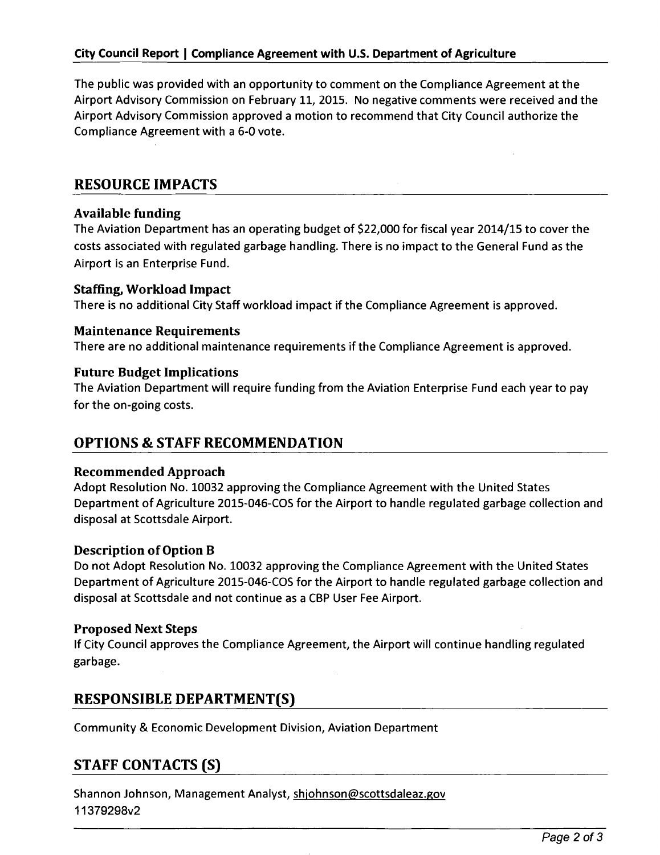The public was provided with an opportunity to comment on the Compliance Agreement at the Airport Advisory Commission on February 11, 2015. No negative comments were received and the Airport Advisory Commission approved a motion to recommend that City Council authorize the Compliance Agreement with a 6-0 vote.

# **RESOURCE IMPACTS**

# Available funding

The Aviation Department has an operating budget of \$22,000 for fiscal year 2014/15 to cover the costs associated with regulated garbage handling. There is no impact to the General Fund as the Airport is an Enterprise Fund.

# Staffing, Workload Impact

**There is no additional City Staff workload impact if the Compliance Agreement is approved.** 

**Maintenance Requirements**<br>There are no additional maintenance requirements if the Compliance Agreement is approved.

# **Future Budget Implications**

The Aviation Department will require funding from the Aviation Enterprise Fund each year to pay for the on-going costs.

# **OPTIONS & STAFF RECOMMENDATION**

# Recommended Approach

Adopt Resolution No. 10032 approving the Compliance Agreement with the United States Department of Agriculture 2015-046-COS for the Airport to handle regulated garbage collection and disposal at Scottsdale Airport.

# Description of Option B

Do not Adopt Resolution No. 10032 approving the Compliance Agreement with the United States Department of Agriculture 2015-046-COS for the Airport to handle regulated garbage collection and disposal at Scottsdale and not continue as a CBP User Fee Airport.

# Proposed Next Steps

If City Council approves the Compliance Agreement, the Airport will continue handling regulated garbage.

# **RESPONSIBLE DEPARTMENT(S)**

Community & Economic Development Division, Aviation Department

# **STAFF CONTACTS (S)**

Shannon Johnson, Management Analyst, shjohnson@scottsdaleaz.gov 11379298v2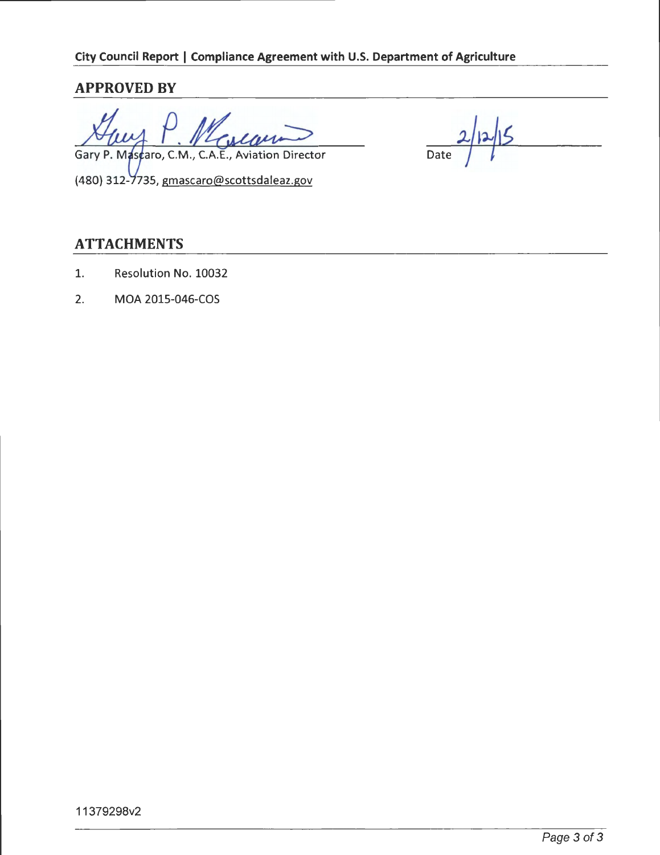# **APPROVED BY**

Gary P. Mascaro, C.M., C.A.E., Aviation Director Date (480) 312-7735, gmascaro@scottsdaleaz.gov

# **ATTACHMENTS**

- 1. Resolution No. 10032
- 2. MGA 2015-046-COS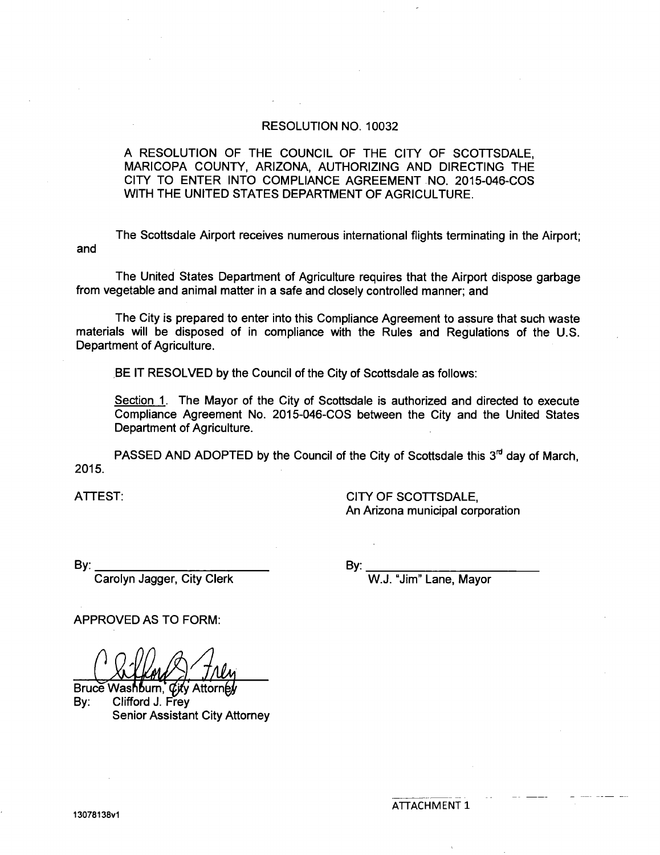#### RESOLUTION NO. 10032

A RESOLUTION OF THE COUNCIL OF THE CITY OF SCOTTSDALE, MARICOPA COUNTY, ARIZONA, AUTHORIZING AND DIRECTING THE CITY TO ENTER INTO COMPLIANCE AGREEMENT NO. 2015-046-COS WITH THE UNITED STATES DEPARTMENT OF AGRICULTURE.

and The Scottsdale Airport receives numerous international flights terminating in the Airport;

The United States Department of Agriculture requires that the Airport dispose garbage from vegetable and animal matter in a safe and closely controlled manner; and

The City is prepared to enter into this Compliance Agreement to assure that such waste materials will be disposed of in compliance with the Rules and Regulations of the U.S. Department of Agriculture.

BE IT RESOLVED by the Council of the City of Scottsdale as follows:

Section 1. The Mayor of the City of Scottsdale is authorized and directed to execute Compliance Agreement No. 2015-046-COS between the City and the United States Department of Agriculture.

PASSED AND ADOPTED by the Council of the City of Scottsdale this  $3<sup>rd</sup>$  day of March. 2015.

ATTEST: CITY OF SCOTTSDALE, An Arizona municipal corporation

By:

Carolyn Jagger, City Clerk

By:

W.J. "Jim" Lane, Mayor

APPROVED AS TO FORM:

Bruce Washburn, *City* Attorney By: Clifford J. Frey Senior Assistant City Attorney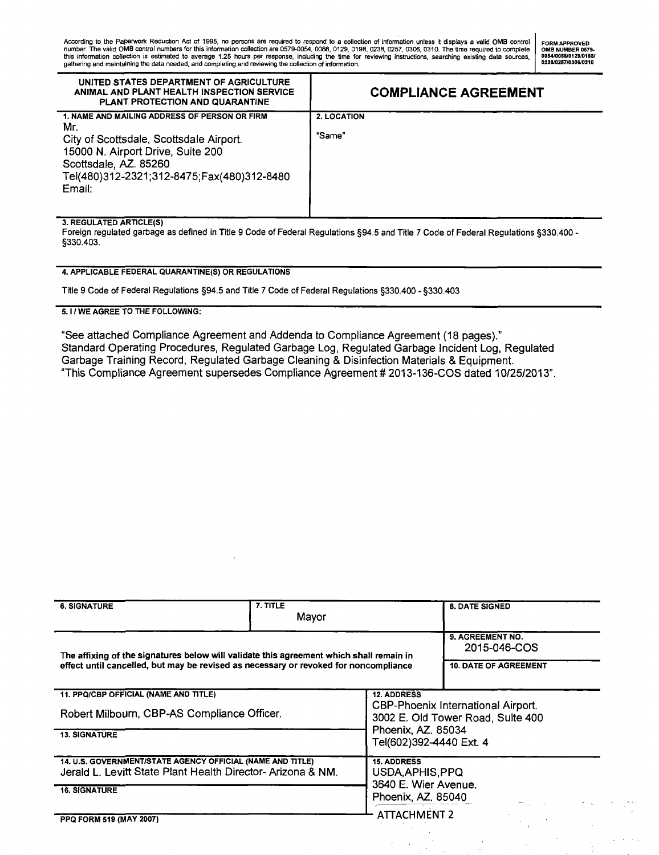| UNITED STATES DEPARTMENT OF AGRICULTURE<br>ANIMAL AND PLANT HEALTH INSPECTION SERVICE<br>PLANT PROTECTION AND QUARANTINE                                                                                              | <b>COMPLIANCE AGREEMENT</b>  |
|-----------------------------------------------------------------------------------------------------------------------------------------------------------------------------------------------------------------------|------------------------------|
| 1. NAME AND MAILING ADDRESS OF PERSON OR FIRM<br>Mr.<br>City of Scottsdale, Scottsdale Airport.<br>15000 N. Airport Drive, Suite 200<br>Scottsdale, AZ. 85260<br>Tel(480)312-2321;312-8475;Fax(480)312-8480<br>Email: | <b>2. LOCATION</b><br>"Same" |

#### **3. REGULATED ARTICLE(S)**

Foreign regulated garbage as defined in Title 9 Code of Federal Regulations §94.5 and Title 7 Code of Federal Regulations §330.400 - §330.403.

#### **4. APPLICABLE FEDERAL QUARANTINE(S) OR REGULATIONS**

Title 9 Code of Federal Regulations §94.5 and Title 7 Code of Federal Regulations §330.400 - §330.403

#### **5.1 / WE AGREE TO THE FOLLOWING:**

**"See attached Compliance Agreement and Addenda to Compliance Agreement (18 pages)." Standard Operating Procedures, Regulated Garbage Log, Regulated Garbage Incident Log, Regulated Garbage Training Record, Regulated Garbage Cleaning & Disinfection Materials & Equipment. "This Compliance Agreement supersedes Compliance Agreement #2013-136-COS dated 10/25/2013".** 

| <b>6. SIGNATURE</b>                                                                                                                                                             | 7. TITLE<br>Mayor |                                                                         | <b>8. DATE SIGNED</b> |  |
|---------------------------------------------------------------------------------------------------------------------------------------------------------------------------------|-------------------|-------------------------------------------------------------------------|-----------------------|--|
| The affixing of the signatures below will validate this agreement which shall remain in<br>effect until cancelled, but may be revised as necessary or revoked for noncompliance |                   | 9. AGREEMENT NO.<br>2015-046-COS<br><b>10. DATE OF AGREEMENT</b>        |                       |  |
| 11. PPQ/CBP OFFICIAL (NAME AND TITLE)                                                                                                                                           |                   | <b>12. ADDRESS</b>                                                      |                       |  |
| Robert Milbourn, CBP-AS Compliance Officer.                                                                                                                                     |                   | CBP-Phoenix International Airport.<br>3002 E. Old Tower Road, Suite 400 |                       |  |
| <b>13. SIGNATURE</b>                                                                                                                                                            |                   | Phoenix, AZ. 85034<br>Tel(602)392-4440 Ext. 4                           |                       |  |
| 14. U.S. GOVERNMENT/STATE AGENCY OFFICIAL (NAME AND TITLE)<br>Jerald L. Levitt State Plant Health Director- Arizona & NM.                                                       |                   | <b>15. ADDRESS</b><br>USDA, APHIS, PPQ<br>3640 E. Wier Avenue.          |                       |  |
| <b>16. SIGNATURE</b>                                                                                                                                                            |                   | Phoenix, AZ. 85040                                                      |                       |  |
| PPQ FORM 519 (MAY 2007)                                                                                                                                                         |                   | <b>ATTACHMENT 2</b>                                                     |                       |  |

 $\bar{z}$  $\alpha_{\rm{max}}$ 

 $\frac{1}{2}$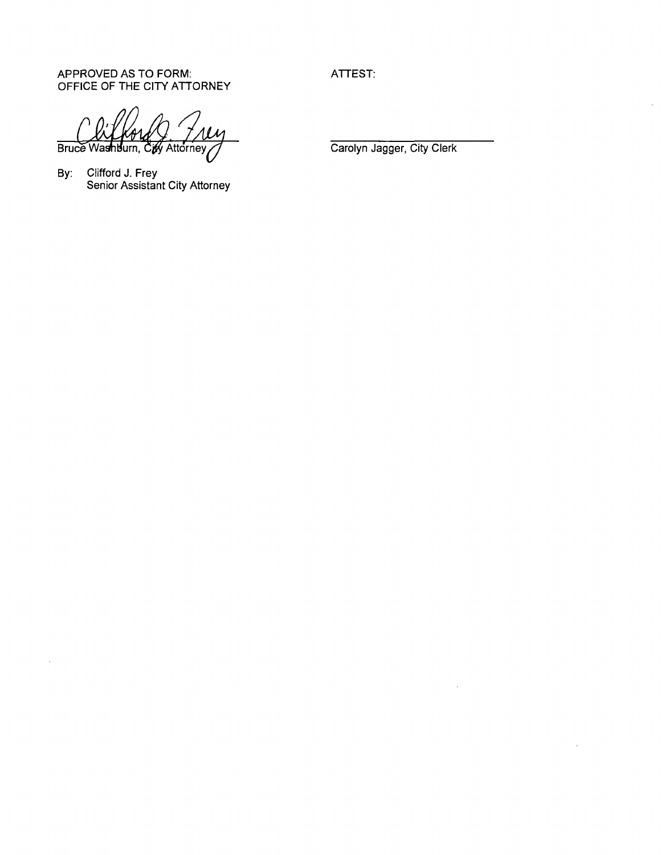APPROVED AS TO FORM: OFFICE OF THE CITY ATTORNEY ATTEST:

Bruce Washburn, **ify Attorney** 

By: Clifford J. Frey Senior Assistant City Attorney

 $\hat{\boldsymbol{\beta}}$ 

Carolyn Jagger, City Clerk

 $\bar{z}$ 

 $\bar{z}$ 

 $\bar{\mathcal{A}}$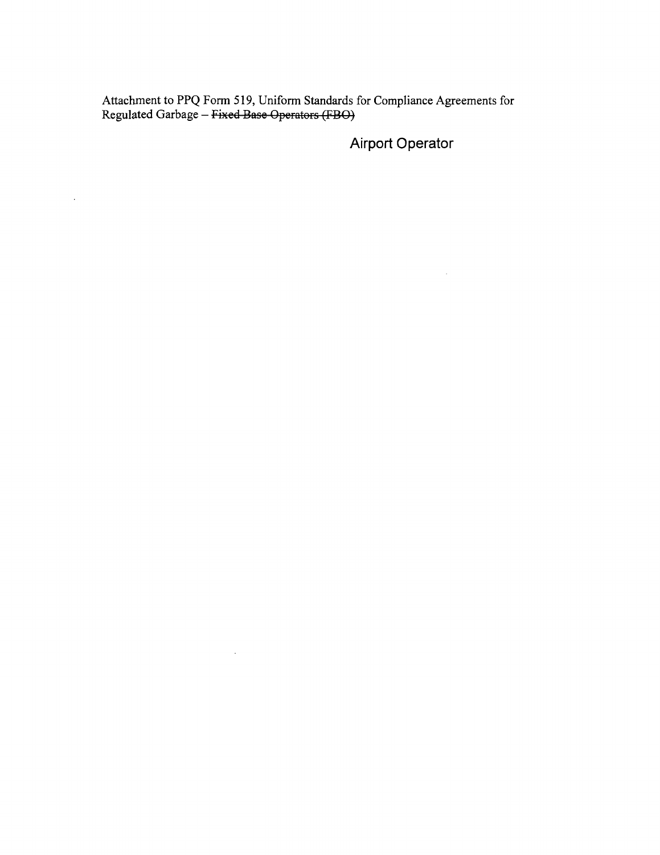Attachment to PPQ Form 519, Uniform Standards for Compliance Agreements for Regulated Garbage – <del>Fixed Base Operators (FBO)</del>

 $\sim 300$ 

 $\mathcal{A}$ 

Airport Operator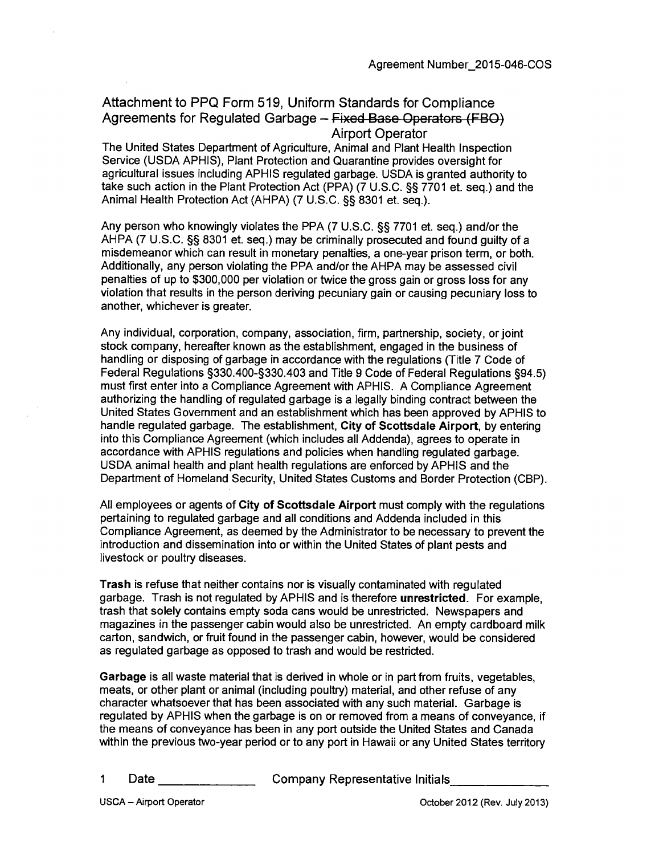# **Attachment to PPQ Form 519, Uniform Standards for Compliance Agreements for Regulated Garbage - Fixed Base Operators (FBO) Airport Operator**

The United States Department of Agriculture, Animal and Plant Health Inspection Service (USDA APHIS), Plant Protection and Quarantine provides oversight for agricultural issues including APHIS regulated garbage. USDA is granted authority to take such action in the Plant Protection Act (PPA) (7 U.S.C. §§ 7701 et. seq.) and the Animal Health Protection Act (AHPA) (7 U.S.C. §§ 8301 et. seq.).

Any person who knowingly violates the PPA (7 U.S.C. §§ 7701 et. seq.) and/or the AHPA (7 U.S.C. §§ 8301 et. seq.) may be criminally prosecuted and found guilty of a misdemeanor which can result in monetary penalties, a one-year prison term, or both. Additionally, any person violating the PPA and/or the AHPA may be assessed civil penalties of up to \$300,000 per violation or twice the gross gain or gross loss for any violation that results in the person deriving pecuniary gain or causing pecuniary loss to another, whichever is greater.

Any individual, corporation, company, association, firm, partnership, society, or joint stock company, hereafter known as the establishment, engaged in the business of handling or disposing of garbage in accordance with the regulations (Title 7 Code of Federal Regulations §330.400-§330.403 and Title 9 Code of Federal Regulations §94.5) must first enter into a Compliance Agreement with APHIS. A Compliance Agreement authorizing the handling of regulated garbage is a legally binding contract between the United States Government and an establishment which has been approved by APHIS to handle regulated garbage. The establishment, City of Scottsdale Airport, by entering into this Compliance Agreement (which includes all Addenda), agrees to operate in accordance with APHIS regulations and policies when handling regulated garbage. USDA animal health and plant health regulations are enforced by APHIS and the Department of Homeland Security, United States Customs and Border Protection (CBP).

All employees or agents of City of Scottsdale Airport must comply with the regulations pertaining to regulated garbage and all conditions and Addenda included in this Compliance Agreement, as deemed by the Administrator to be necessary to prevent the introduction and dissemination into or within the United States of plant pests and livestock or poultry diseases.

Trash is refuse that neither contains nor is visually contaminated with regulated garbage. Trash is not regulated by APHIS and is therefore unrestricted. For example, trash that solely contains empty soda cans would be unrestricted. Newspapers and magazines in the passenger cabin would also be unrestricted. An empty cardboard milk carton, sandwich, or fruit found in the passenger cabin, however, would be considered as regulated garbage as opposed to trash and would be restricted.

Garbage is all waste material that is derived in whole or in part from fruits, vegetables, meats, or other plant or animal (including poultry) material, and other refuse of any character whatsoever that has been associated with any such material. Garbage is regulated by APHIS when the garbage is on or removed from a means of conveyance, if the means of conveyance has been in any port outside the United States and Canada within the previous two-year period or to any port in Hawaii or any United States territory

1 Date \_\_\_\_\_\_\_\_\_\_\_\_\_\_\_\_\_\_\_Company Representative Initials\_\_\_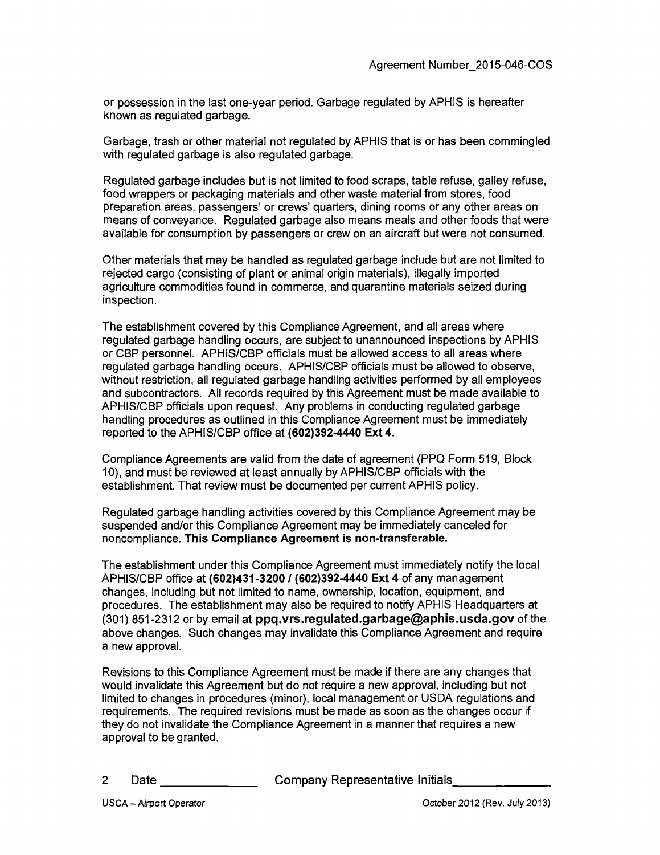or possession in the last one-year period. Garbage regulated by APHIS is hereafter known as regulated garbage.

Garbage, trash or other material not regulated by APHIS that is or has been commingled with regulated garbage is also regulated garbage.

Regulated garbage includes but is not limited to food scraps, table refuse, galley refuse, food wrappers or packaging materials and other waste material from stores, food preparation areas, passengers' or crews' quarters, dining rooms or any other areas on means of conveyance. Regulated garbage also means meals and other foods that were available for consumption by passengers or crew on an aircraft but were not consumed.

Other materials that may be handled as regulated garbage include but are not limited to rejected cargo (consisting of plant or animal origin materials), illegally imported agriculture commodities found in commerce, and quarantine materials seized during inspection.

**The establishment covered by this Compliance Agreement, and all areas where regulated garbage handling occurs, are subject to unannounced inspections by APHIS or CBP personnel. APHIS/CBP officials must be allowed access to all areas where regulated garbage handling occurs. APHIS/CBP officials must be allowed to observe, without restriction, all regulated garbage handling activities performed by all employees and subcontractors. All records required by this Agreement must be made available to APHIS/CBP officials upon request. Any problems in conducting regulated garbage handling procedures as outlined in this Compliance Agreement must be immediately reported to the APHIS/CBP office at (602)392-4440 Ext 4.** 

Compliance Agreements are valid from the date of agreement (PPQ Form 519, Block 10), and must be reviewed at least annually by APHIS/CBP officials with the establishment. That review must be documented per current APHIS policy.

**Regulated garbage handling activities covered by this Compliance Agreement may be suspended and/or this Compliance Agreement may be immediately canceled for noncompliance. This Compliance Agreement is non-transferable.** 

The establishment under this Compliance Agreement must immediately notify the local APHIS/CBP office at (602)431-3200 / (602)392-4440 Ext 4 of any management changes, including but not limited to name, ownership, location, equipment, and procedures. The establishment may also be required to notify APHIS Headquarters at (301) 851-2312 or by email at ppq.vrs.regulated.garbage@aphis.usda.gov of the above changes. Such changes may invalidate this Compliance Agreement and require a new approval.

Revisions to this Compliance Agreement must be made if there are any changes that would invalidate this Agreement but do not require a new approval, including but not limited to changes in procedures (minor), local management or USDA regulations and requirements. The required revisions must be made as soon as the changes occur if they do not invalidate the Compliance Agreement in a manner that requires a new approval to be granted.

Date Company Representative Initials

 $\overline{2}$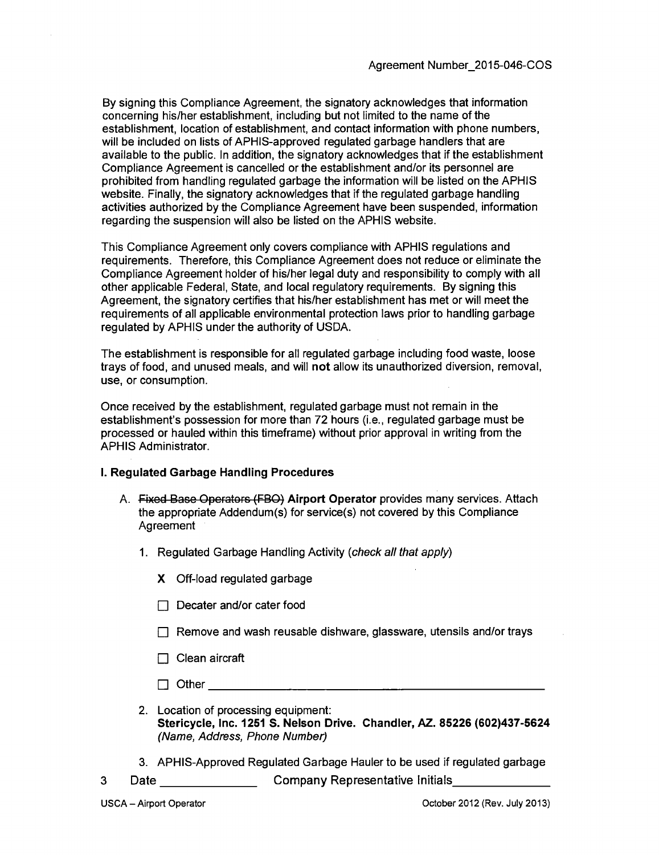By signing this Compliance Agreement, the signatory acknowledges that information concerning his/her establishment, including but not limited to the name of the establishment, location of establishment, and contact information with phone numbers, will be included on lists of APHIS-approved regulated garbage handlers that are available to the public. In addition, the signatory acknowledges that if the establishment Compliance Agreement is cancelled or the establishment and/or its personnel are prohibited from handling regulated garbage the information will be listed on the APHIS website. Finally, the signatory acknowledges that if the regulated garbage handling activities authorized by the Compliance Agreement have been suspended, information regarding the suspension will also be listed on the APHIS website.

This Compliance Agreement only covers compliance with APHIS regulations and requirements. Therefore, this Compliance Agreement does not reduce or eliminate the Compliance Agreement holder of his/her legal duty and responsibility to comply with all other applicable Federal, State, and local regulatory requirements. By signing this Agreement, the signatory certifies that his/her establishment has met or will meet the requirements of all applicable environmental protection laws prior to handling garbage regulated by APHIS under the authority of USDA.

The establishment is responsible for all regulated garbage including food waste, loose trays of food, and unused meals, and will not allow its unauthorized diversion, removal, use, or consumption.

Once received by the establishment, regulated garbage must not remain in the establishment's possession for more than 72 hours (i.e., regulated garbage must be processed or hauled within this timeframe) without prior approval in writing from the APHIS Administrator.

#### **1. Regulated Garbage Handling Procedures**

- A. Fixed Base Operators (FBO) Airport Operator provides many services. Attach the appropriate Addendum(s) for service(s) not covered by this Compliance **Agreement** 
	- 1. Regulated Garbage Handling Activity (check all that apply)
		- X Off-load regulated garbage
		- $\Box$  Decater and/or cater food
		- $\Box$  Remove and wash reusable dishware, glassware, utensils and/or trays
		- $\Box$  Clean aircraft
		- $\Box$  Other  $\Box$
	- 2. Location of processing equipment: **Stericycle, Inc. 1251 8. Nelson Drive. Chandler, AZ. 85226 (602)437-5624**  (Name, Address, Phone Number)
	- **3. APHIS-Approved Regulated Garbage Hauler to be used if regulated garbage**
- **3 Date Company Representative Initials**
-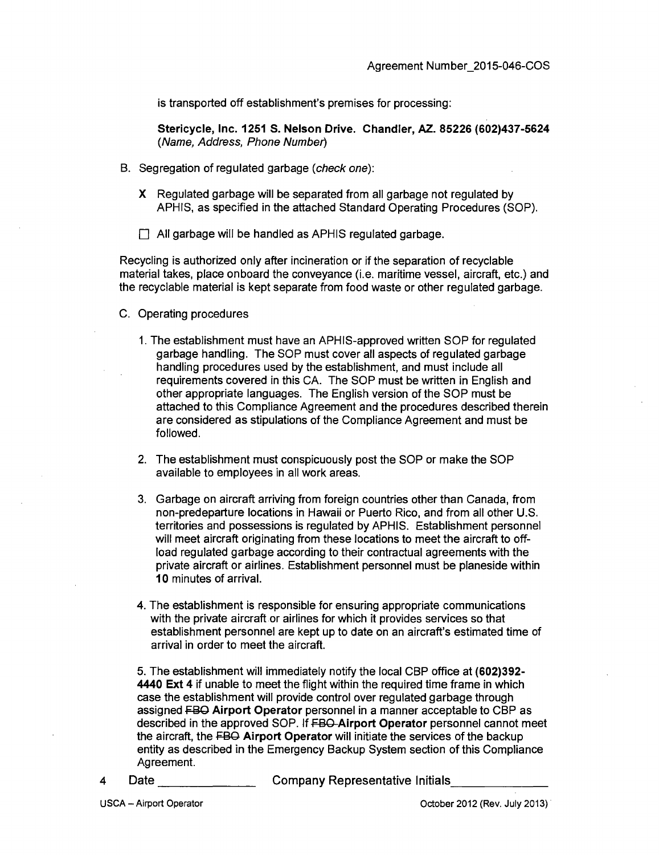is transported off establishment's premises for processing:

**Stericycle, Inc. 1251 S. Nelson Drive. Chandler, AZ. 85226 (602)437-5624**  (Name, Address, Phone Number)

- B. Segregation of regulated garbage (check one):
	- X Regulated garbage will be separated from all garbage not regulated by APHIS, as specified in the attached Standard Operating Procedures (SOP).
	- All garbage will be handled as APHIS regulated garbage.

Recycling is authorized only after incineration or if the separation of recyclable material takes, place onboard the conveyance (i.e. maritime vessel, aircraft, etc.) and the recyclable material is kept separate from food waste or other regulated garbage.

- C. Operating procedures
	- 1. The establishment must have an APHIS-approved written SOP for regulated garbage handling. The SOP must cover all aspects of regulated garbage handling procedures used by the establishment, and must include all requirements covered in this CA. The SOP must be written in English and other appropriate languages. The English version of the SOP must be attached to this Compliance Agreement and the procedures described therein are considered as stipulations of the Compliance Agreement and must be followed.
	- 2. The establishment must conspicuously post the SOP or make the SOP available to employees in all work areas.
	- 3. Garbage on aircraft arriving from foreign countries other than Canada, from non-predeparture locations in Hawaii or Puerto Rico, and from all other U.S. territories and possessions is regulated by APHIS. Establishment personnel will meet aircraft originating from these locations to meet the aircraft to offload regulated garbage according to their contractual agreements with the private aircraft or airlines. Establishment personnel must be planeside within 10 minutes of arrival.
	- 4. The establishment is responsible for ensuring appropriate communications with the private aircraft or airlines for which it provides services so that establishment personnel are kept up to date on an aircraft's estimated time of arrival in order to meet the aircraft.

5. The establishment will immediately notify the local CBP office at (602)392- 4440 Ext 4 if unable to meet the flight within the required time frame in which case the establishment will provide control over regulated garbage through assigned FBQ Airport Operator personnel in a manner acceptable to CBP as described in the approved SOP. If **FBO-Airport Operator** personnel cannot meet the aircraft, the FBO Airport Operator will initiate the services of the backup entity as described in the Emergency Backup System section of this Compliance Agreement.

- 4 Date Company Representative Initials
-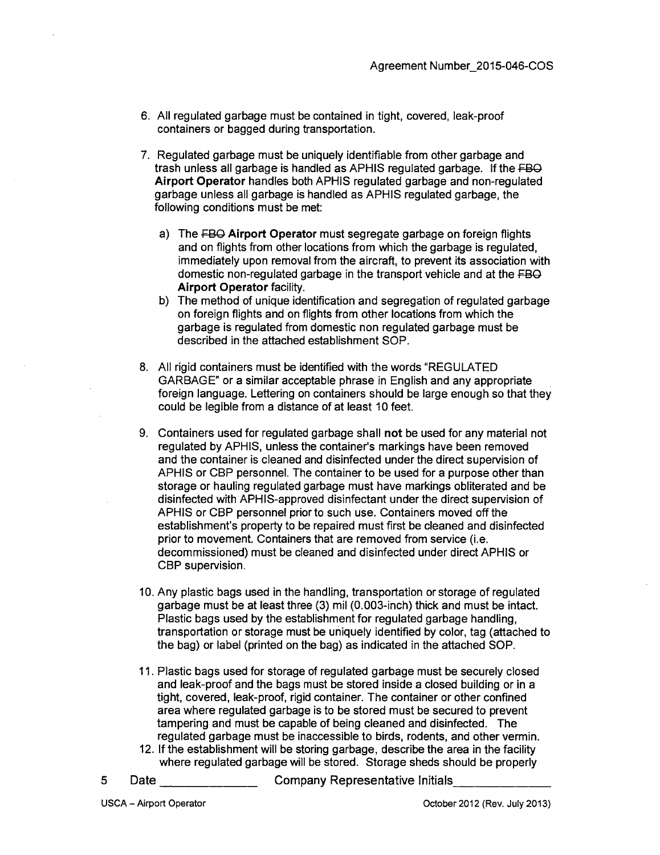- 6. All regulated garbage must be contained in tight, covered, leak-proof containers or bagged during transportation.
- 7. Regulated garbage must be uniquely identifiable from other garbage and trash unless all garbage is handled as APHIS regulated garbage. If the FBO Airport Operator handles both APHIS regulated garbage and non-regulated garbage unless all garbage is handled as APHIS regulated garbage, the following conditions must be met:
	- a) The FBO Airport Operator must segregate garbage on foreign flights and on flights from other locations from which the garbage is regulated, immediately upon removal from the aircraft, to prevent its association with domestic non-regulated garbage in the transport vehicle and at the FBO Airport Operator facility.
	- b) The method of unique identification and segregation of regulated garbage on foreign flights and on flights from other locations from which the garbage is regulated from domestic non regulated garbage must be described in the attached establishment SOP.
- 8. All rigid containers must be identified with the words "REGULATED GARBAGE" or a similar acceptable phrase in English and any appropriate foreign language. Lettering on containers should be large enough so that they could be legible from a distance of at least 10 feet.
- 9. Containers used for regulated garbage shall not be used for any material not regulated by APHIS, unless the container's markings have been removed and the container is cleaned and disinfected under the direct supervision of APHIS or CBP personnel. The container to be used for a purpose other than storage or hauling regulated garbage must have markings obliterated and be disinfected with APHIS-approved disinfectant under the direct supervision of APHIS or CBP personnel prior to such use. Containers moved off the establishment's property to be repaired must first be cleaned and disinfected prior to movement. Containers that are removed from service (i.e. decommissioned) must be cleaned and disinfected under direct APHIS or CBP supervision.
- 10. Any plastic bags used in the handling, transportation or storage of regulated garbage must be at least three (3) mil (0.003-inch) thick and must be intact. Plastic bags used by the establishment for regulated garbage handling, transportation or storage must be uniquely identified by color, tag (attached to the bag) or label (printed on the bag) as indicated in the attached SOP.
- 11. Plastic bags used for storage of regulated garbage must be securely closed and leak-proof and the bags must be stored inside a closed building or in a tight, covered, leak-proof, rigid container. The container or other confined area where regulated garbage is to be stored must be secured to prevent tampering and must be capable of being cleaned and disinfected. The regulated garbage must be inaccessible to birds, rodents, and other vermin.
- 12. If the establishment will be storing garbage, describe the area in the facility where regulated garbage will be stored. Storage sheds should be properly
- 5

Date Company Representative Initials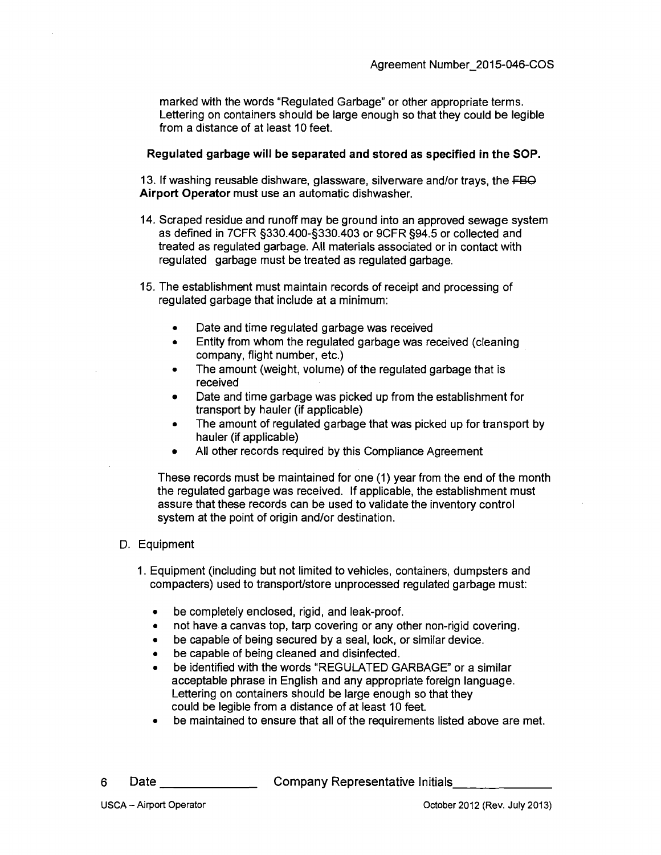marked with the words "Regulated Garbage" or other appropriate terms. Lettering on containers should be large enough so that they could be legible from a distance of at least 10 feet.

#### **Regulated garbage will be separated and stored as specified in the SOP.**

13. If washing reusable dishware, glassware, silverware and/or trays, the FBO Airport Operator must use an automatic dishwasher.

- 14. Scraped residue and runoff may be ground into an approved sewage system as defined in 7CFR §330.400-§330.403 or 9CFR §94.5 or collected and treated as regulated garbage. All materials associated or in contact with regulated garbage must be treated as regulated garbage.
- 15. The establishment must maintain records of receipt and processing of regulated garbage that include at a minimum:
	- Date and time regulated garbage was received
	- Entity from whom the regulated garbage was received (cleaning company, flight number, etc.)
	- The amount (weight, volume) of the regulated garbage that is received
	- Date and time garbage was picked up from the establishment for transport by hauler (if applicable)
	- The amount of regulated garbage that was picked up for transport by hauler (if applicable)
	- All other records required by this Compliance Agreement

These records must be maintained for one (1) year from the end of the month the regulated garbage was received. If applicable, the establishment must assure that these records can be used to validate the inventory control system at the point of origin and/or destination.

- D. Equipment
	- 1. Equipment (including but not limited to vehicles, containers, dumpsters and compacters) used to transport/store unprocessed regulated garbage must:
		- $\bullet$ be completely enclosed, rigid, and leak-proof,
		- not have a canvas top, tarp covering or any other non-rigid covering,  $\bullet$
		- be capable of being secured by a seal, lock, or similar device,  $\bullet$
		- be capable of being cleaned and disinfected,  $\bullet$
		- be identified with the words "REGULATED GARBAGE" or a similar acceptable phrase in English and any appropriate foreign language. Lettering on containers should be large enough so that they could be legible from a distance of at least 10 feet,
		- be maintained to ensure that all of the requirements listed above are met.
- 6

Date \_\_\_\_\_\_\_\_\_\_\_\_\_\_\_\_\_\_\_\_\_\_Company Representative Initials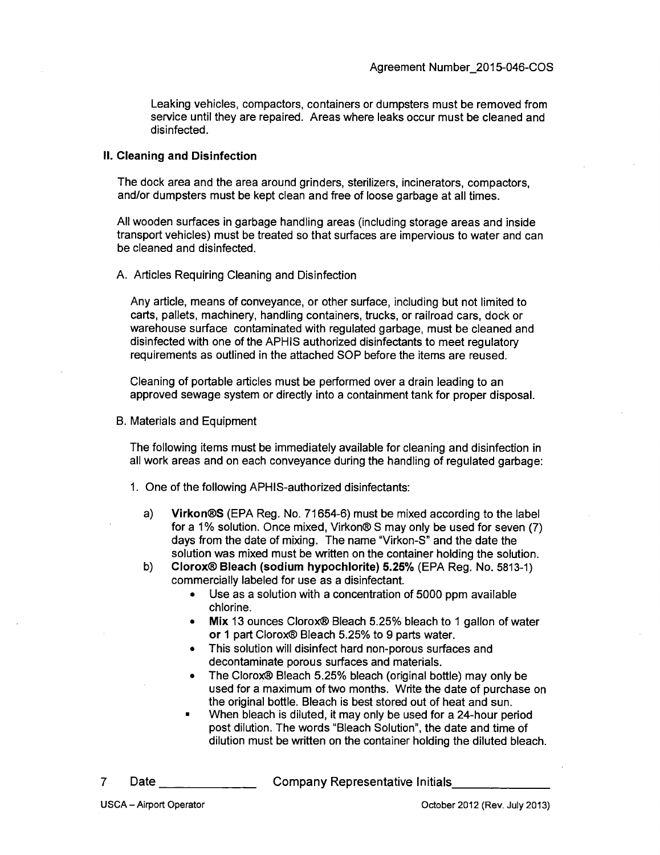Leaking vehicles, compactors, containers or dumpsters must be removed from service until they are repaired. Areas where leaks occur must be cleaned and disinfected.

#### **II. Cleaning and Disinfection**

The dock area and the area around grinders, sterilizers, incinerators, compactors, and/or dumpsters must be kept clean and free of loose garbage at all times.

All wooden surfaces in garbage handling areas (including storage areas and inside transport vehicles) must be treated so that surfaces are impervious to water and can be cleaned and disinfected.

#### A. Articles Requiring Cleaning and Disinfection

Any article, means of conveyance, or other surface, including but not limited to carts, pallets, machinery, handling containers, trucks, or railroad cars, dock or warehouse surface contaminated with regulated garbage, must be cleaned and disinfected with one of the APHIS authorized disinfectants to meet regulatory requirements as outlined in the attached SOP before the items are reused.

Cleaning of portable articles must be performed over a drain leading to an approved sewage system or directly into a containment tank for proper disposal.

B. Materials and Equipment

The following items must be immediately available for cleaning and disinfection in all work areas and on each conveyance during the handling of regulated garbage:

- 1. One of the following APHIS-authorized disinfectants:
	- a) Virkon®S (EPA Reg. No. 71654-6) must be mixed according to the label for a 1% solution. Once mixed, Virkon® S may only be used for seven (7) days from the date of mixing. The name "Virkon-S" and the date the solution was mixed must be written on the container holding the solution.
	- b) Clorox® Bleach (sodium hypochlorite) 5.25% (EPA Reg. No. 5813-1) commercially labeled for use as a disinfectant.
		- Use as a solution with a concentration of 5000 ppm available chlorine.
		- Mix 13 ounces Clorox® Bleach 5.25% bleach to 1 gallon of water or 1 part Clorox® Bleach 5.25% to 9 parts water.
		- This solution will disinfect hard non-porous surfaces and decontaminate porous surfaces and materials.
		- The Clorox® Bleach 5.25% bleach (original bottle) may only be used for a maximum of two months. Write the date of purchase on the original bottle. Bleach is best stored out of heat and sun.
		- When bleach is diluted, it may only be used for a 24-hour period post dilution. The words "Bleach Solution", the date and time of dilution must be written on the container holding the diluted bleach.
- $\overline{7}$

Date Company Representative Initials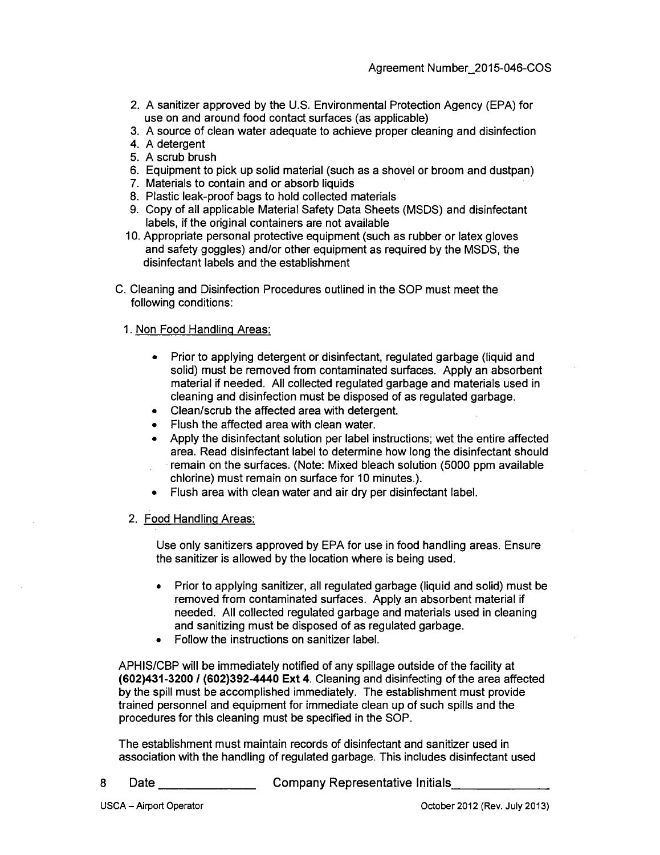- 2. A sanitizer approved by the U.S. Environmental Protection Agency (EPA) for use on and around food contact surfaces (as applicable)
- 3. A source of clean water adequate to achieve proper cleaning and disinfection
- 4. A detergent
- 5. A scrub brush
- 6. Equipment to pick up solid material (such as a shovel or broom and dustpan)
- 7. Materials to contain and or absorb liquids
- 8. Plastic leak-proof bags to hold collected materials
- 9. Copy of all applicable Material Safety Data Sheets (MSDS) and disinfectant labels, if the original containers are not available
- 10. Appropriate personal protective equipment (such as rubber or latex gloves and safety goggles) and/or other equipment as required by the MSDS, the disinfectant labels and the establishment
- C. Cleaning and Disinfection Procedures outlined in the SOP must meet the following conditions:

#### 1. Non Food Handling Areas:

- Prior to applying detergent or disinfectant, regulated garbage (liquid and solid) must be removed from contaminated surfaces. Apply an absorbent material if needed. All collected regulated garbage and materials used in cleaning and disinfection must be disposed of as regulated garbage.
- Clean/scrub the affected area with detergent
- Flush the affected area with clean water.
- Apply the disinfectant solution per label instructions; wet the entire affected area. Read disinfectant label to determine how long the disinfectant should remain on the surfaces. (Note: Mixed bleach solution (5000 ppm available chlorine) must remain on surface for 10 minutes.).
- Flush area with clean water and air dry per disinfectant label.

#### 2. Food Handling Areas:

Use only sanitizers approved by EPA for use in food handling areas. Ensure the sanitizer is allowed by the locafion where is being used.

- Prior to applying sanitizer, all regulated garbage (liquid and solid) must be removed from contaminated surfaces. Apply an absorbent material if needed. All collected regulated garbage and materials used in cleaning and sanitizing must be disposed of as regulated garbage.
- Follow the instructions on sanitizer label.

APHIS/CBP will be immediately notified of any spillage outside of the facility at (602)431-3200 / (602)392-4440 Ext 4. Cleaning and disinfecting of the area affected by the spill must be accomplished immediately. The establishment must provide trained personnel and equipment for immediate clean up of such spills and the procedures for this cleaning must be specified in the SOP.

The establishment must maintain records of disinfectant and sanitizer used in association with the handling of regulated garbage. This includes disinfectant used

8 Date Company Representative Initials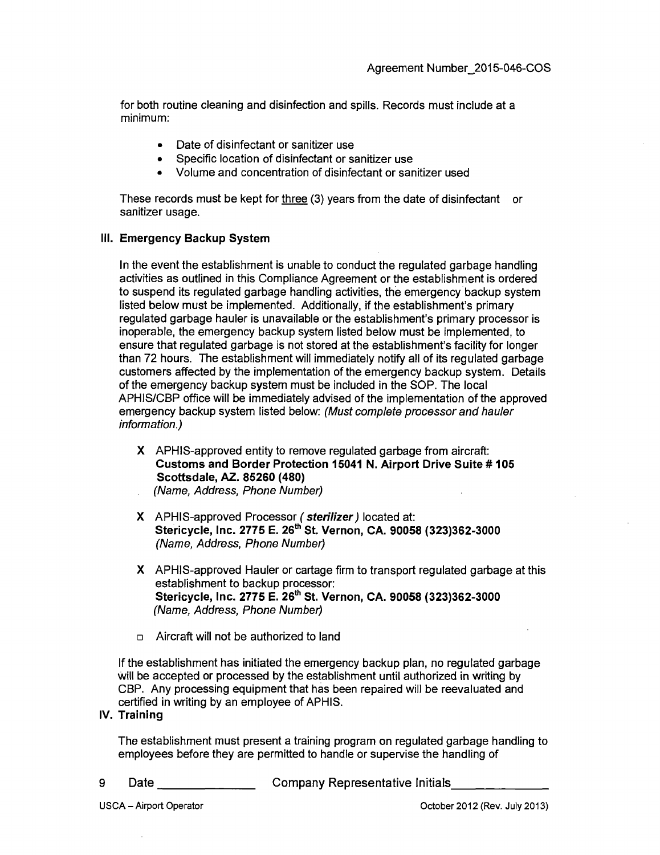for both routine cleaning and disinfection and spills. Records must include at a minimum:

- Date of disinfectant or sanitizer use
- Specific location of disinfectant or sanitizer use
- Volume and concentration of disinfectant or sanitizer used

These records must be kept for three (3) years from the date of disinfectant or sanitizer usage.

### **III. Emergency Backup System**

In the event the establishment is unable to conduct the regulated garbage handling activities as outlined in this Compliance Agreement or the establishment is ordered to suspend its regulated garbage handling activities, the emergency backup system listed below must be implemented. Additionally, if the establishment's primary regulated garbage hauler is unavailable or the establishment's primary processor is inoperable, the emergency backup system listed below must be implemented, to ensure that regulated garbage is not stored at the establishment's facility for longer than 72 hours. The establishment will immediately notify all of its regulated garbage customers affected by the implementation of the emergency backup system. Details of the emergency backup system must be included in the SOP. The local APHIS/CBP office will be immediately advised of the implementation of the approved emergency backup system listed below: (Must complete processor and hauler information.)

- **X APHIS-approved entity to remove regulated garbage from aircraft: Customs and Border Protection 15041 N. Airport Drive Suite #105 Scottsdale, AZ. 85260 (480)**
- (Name, Address, Phone Number)
- X APHIS-approved Processor (sterilizer) located at: **Stericycle, Inc. 2775 E. 26\*^ St. Vernon, CA. 90058 (323)362-3000**  (Name, Address, Phone Number)
- X APHIS-approved Hauler or cartage firm to transport regulated garbage at this establishment to backup processor: **Stericycle, Inc. 2775 E. 26\* St. Vernon, CA. 90058 (323)362-3000**  (Name, Address, Phone Number)
- $\Box$  Aircraft will not be authorized to land

If the establishment has initiated the emergency backup plan, no regulated garbage will be accepted or processed by the establishment until authorized in writing by CBP. Any processing equipment that has been repaired will be reevaluated and certified in writing by an employee of APHIS.

**IV. Training** 

The establishment must present a training program on regulated garbage handling to employees before they are permitted to handle or supervise the handling of

- 9 Date Company Representative Initials
-